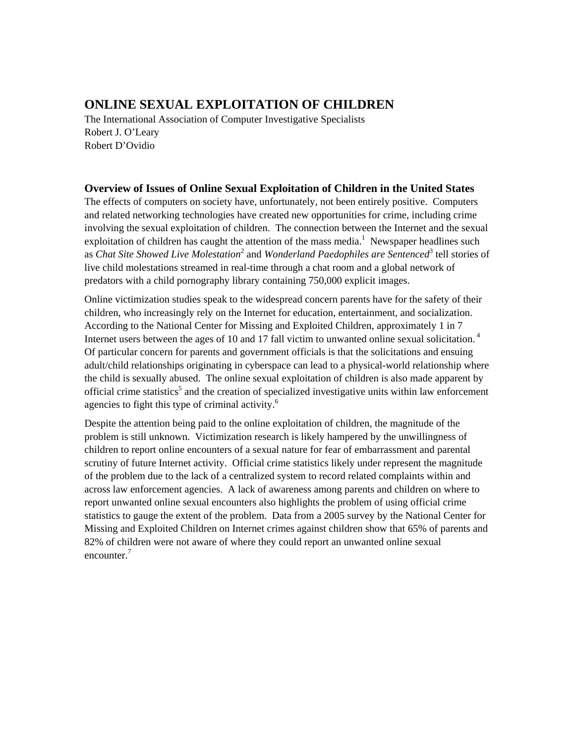# **ONLINE SEXUAL EXPLOITATION OF CHILDREN**

The International Association of Computer Investigative Specialists Robert J. O'Leary Robert D'Ovidio

## **Overview of Issues of Online Sexual Exploitation of Children in the United States**

The effects of computers on society have, unfortunately, not been entirely positive. Computers and related networking technologies have created new opportunities for crime, including crime involving the sexual exploitation of children. The connection between the Internet and the sexual exploitation of children has caught the attention of the mass media.<sup>[1](#page-13-0)</sup> Newspaper headlines such as *Chat Site Showed Live Molestation*<sup>[2](#page-13-1)</sup> and *Wonderland Paedophiles are Sentenced*<sup>[3](#page-13-2)</sup> tell stories of live child molestations streamed in real-time through a chat room and a global network of predators with a child pornography library containing 750,000 explicit images.

Online victimization studies speak to the widespread concern parents have for the safety of their children, who increasingly rely on the Internet for education, entertainment, and socialization. According to the National Center for Missing and Exploited Children, approximately 1 in 7 Internet users between the ages of 10 and 17 fall victim to unwanted online sexual solicitation.<sup>4</sup> Of particular concern for parents and government officials is that the solicitations and ensuing adult/child relationships originating in cyberspace can lead to a physical-world relationship where the child is sexually abused. The online sexual exploitation of children is also made apparent by official crime statistics<sup>[5](#page-13-4)</sup> and the creation of specialized investigative units within law enforcement agencies to fight this type of criminal activity. $6$ 

Despite the attention being paid to the online exploitation of children, the magnitude of the problem is still unknown. Victimization research is likely hampered by the unwillingness of children to report online encounters of a sexual nature for fear of embarrassment and parental scrutiny of future Internet activity. Official crime statistics likely under represent the magnitude of the problem due to the lack of a centralized system to record related complaints within and across law enforcement agencies. A lack of awareness among parents and children on where to report unwanted online sexual encounters also highlights the problem of using official crime statistics to gauge the extent of the problem. Data from a 2005 survey by the National Center for Missing and Exploited Children on Internet crimes against children show that 65% of parents and 82% of children were not aware of where they could report an unwanted online sexual encounter.<sup>[7](#page-13-6)</sup>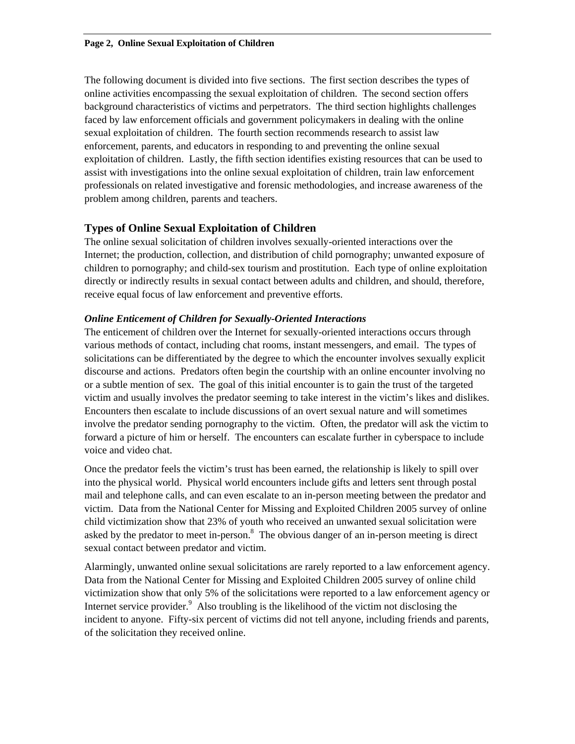The following document is divided into five sections. The first section describes the types of online activities encompassing the sexual exploitation of children. The second section offers background characteristics of victims and perpetrators. The third section highlights challenges faced by law enforcement officials and government policymakers in dealing with the online sexual exploitation of children. The fourth section recommends research to assist law enforcement, parents, and educators in responding to and preventing the online sexual exploitation of children. Lastly, the fifth section identifies existing resources that can be used to assist with investigations into the online sexual exploitation of children, train law enforcement professionals on related investigative and forensic methodologies, and increase awareness of the problem among children, parents and teachers.

## **Types of Online Sexual Exploitation of Children**

The online sexual solicitation of children involves sexually-oriented interactions over the Internet; the production, collection, and distribution of child pornography; unwanted exposure of children to pornography; and child-sex tourism and prostitution. Each type of online exploitation directly or indirectly results in sexual contact between adults and children, and should, therefore, receive equal focus of law enforcement and preventive efforts.

## *Online Enticement of Children for Sexually-Oriented Interactions*

The enticement of children over the Internet for sexually-oriented interactions occurs through various methods of contact, including chat rooms, instant messengers, and email. The types of solicitations can be differentiated by the degree to which the encounter involves sexually explicit discourse and actions. Predators often begin the courtship with an online encounter involving no or a subtle mention of sex. The goal of this initial encounter is to gain the trust of the targeted victim and usually involves the predator seeming to take interest in the victim's likes and dislikes. Encounters then escalate to include discussions of an overt sexual nature and will sometimes involve the predator sending pornography to the victim. Often, the predator will ask the victim to forward a picture of him or herself. The encounters can escalate further in cyberspace to include voice and video chat.

Once the predator feels the victim's trust has been earned, the relationship is likely to spill over into the physical world. Physical world encounters include gifts and letters sent through postal mail and telephone calls, and can even escalate to an in-person meeting between the predator and victim. Data from the National Center for Missing and Exploited Children 2005 survey of online child victimization show that 23% of youth who received an unwanted sexual solicitation were asked by the predator to meet in-person. $8$  The obvious danger of an in-person meeting is direct sexual contact between predator and victim.

Alarmingly, unwanted online sexual solicitations are rarely reported to a law enforcement agency. Data from the National Center for Missing and Exploited Children 2005 survey of online child victimization show that only 5% of the solicitations were reported to a law enforcement agency or Internet service provider. $9$  Also troubling is the likelihood of the victim not disclosing the incident to anyone. Fifty-six percent of victims did not tell anyone, including friends and parents, of the solicitation they received online.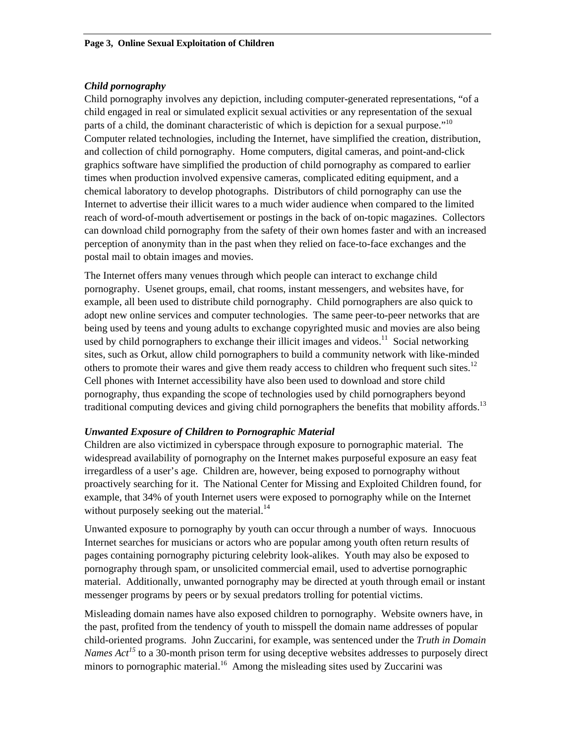## *Child pornography*

Child pornography involves any depiction, including computer-generated representations, "of a child engaged in real or simulated explicit sexual activities or any representation of the sexual parts of a child, the dominant characteristic of which is depiction for a sexual purpose.<sup> $10$ </sup> Computer related technologies, including the Internet, have simplified the creation, distribution, and collection of child pornography. Home computers, digital cameras, and point-and-click graphics software have simplified the production of child pornography as compared to earlier times when production involved expensive cameras, complicated editing equipment, and a chemical laboratory to develop photographs. Distributors of child pornography can use the Internet to advertise their illicit wares to a much wider audience when compared to the limited reach of word-of-mouth advertisement or postings in the back of on-topic magazines. Collectors can download child pornography from the safety of their own homes faster and with an increased perception of anonymity than in the past when they relied on face-to-face exchanges and the postal mail to obtain images and movies.

The Internet offers many venues through which people can interact to exchange child pornography. Usenet groups, email, chat rooms, instant messengers, and websites have, for example, all been used to distribute child pornography. Child pornographers are also quick to adopt new online services and computer technologies. The same peer-to-peer networks that are being used by teens and young adults to exchange copyrighted music and movies are also being used by child pornographers to exchange their illicit images and videos.<sup>11</sup> Social networking sites, such as Orkut, allow child pornographers to build a community network with like-minded others to promote their wares and give them ready access to children who frequent such sites.<sup>12</sup> Cell phones with Internet accessibility have also been used to download and store child pornography, thus expanding the scope of technologies used by child pornographers beyond traditional computing devices and giving child pornographers the benefits that mobility affords.<sup>13</sup>

## *Unwanted Exposure of Children to Pornographic Material*

Children are also victimized in cyberspace through exposure to pornographic material. The widespread availability of pornography on the Internet makes purposeful exposure an easy feat irregardless of a user's age. Children are, however, being exposed to pornography without proactively searching for it. The National Center for Missing and Exploited Children found, for example, that 34% of youth Internet users were exposed to pornography while on the Internet without purposely seeking out the material. $^{14}$  $^{14}$  $^{14}$ 

Unwanted exposure to pornography by youth can occur through a number of ways. Innocuous Internet searches for musicians or actors who are popular among youth often return results of pages containing pornography picturing celebrity look-alikes. Youth may also be exposed to pornography through spam, or unsolicited commercial email, used to advertise pornographic material. Additionally, unwanted pornography may be directed at youth through email or instant messenger programs by peers or by sexual predators trolling for potential victims.

Misleading domain names have also exposed children to pornography. Website owners have, in the past, profited from the tendency of youth to misspell the domain name addresses of popular child-oriented programs. John Zuccarini, for example, was sentenced under the *Truth in Domain Names Act*<sup>[15](#page-13-14)</sup> to a 30-month prison term for using deceptive websites addresses to purposely direct minors to pornographic material.<sup>16</sup> Among the misleading sites used by Zuccarini was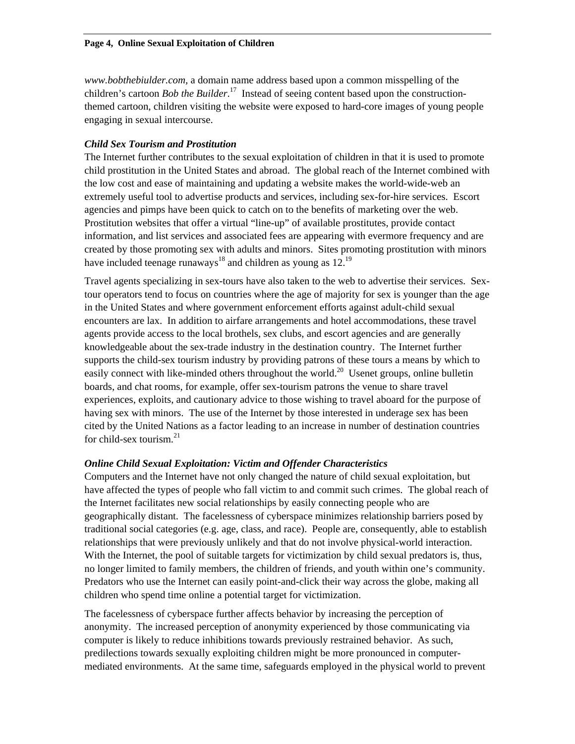*www.bobthebiulder.com*, a domain name address based upon a common misspelling of the children's cartoon *Bob the Builder*. [17](#page-13-16) Instead of seeing content based upon the constructionthemed cartoon, children visiting the website were exposed to hard-core images of young people engaging in sexual intercourse.

#### *Child Sex Tourism and Prostitution*

The Internet further contributes to the sexual exploitation of children in that it is used to promote child prostitution in the United States and abroad. The global reach of the Internet combined with the low cost and ease of maintaining and updating a website makes the world-wide-web an extremely useful tool to advertise products and services, including sex-for-hire services. Escort agencies and pimps have been quick to catch on to the benefits of marketing over the web. Prostitution websites that offer a virtual "line-up" of available prostitutes, provide contact information, and list services and associated fees are appearing with evermore frequency and are created by those promoting sex with adults and minors. Sites promoting prostitution with minors have included teenage runaways<sup>18</sup> and children as young as  $12.^{19}$  $12.^{19}$  $12.^{19}$ 

Travel agents specializing in sex-tours have also taken to the web to advertise their services. Sextour operators tend to focus on countries where the age of majority for sex is younger than the age in the United States and where government enforcement efforts against adult-child sexual encounters are lax. In addition to airfare arrangements and hotel accommodations, these travel agents provide access to the local brothels, sex clubs, and escort agencies and are generally knowledgeable about the sex-trade industry in the destination country. The Internet further supports the child-sex tourism industry by providing patrons of these tours a means by which to easily connect with like-minded others throughout the world.<sup>20</sup> Usenet groups, online bulletin boards, and chat rooms, for example, offer sex-tourism patrons the venue to share travel experiences, exploits, and cautionary advice to those wishing to travel aboard for the purpose of having sex with minors. The use of the Internet by those interested in underage sex has been cited by the United Nations as a factor leading to an increase in number of destination countries for child-sex tourism. $2<sup>1</sup>$ 

#### *Online Child Sexual Exploitation: Victim and Offender Characteristics*

Computers and the Internet have not only changed the nature of child sexual exploitation, but have affected the types of people who fall victim to and commit such crimes. The global reach of the Internet facilitates new social relationships by easily connecting people who are geographically distant. The facelessness of cyberspace minimizes relationship barriers posed by traditional social categories (e.g. age, class, and race). People are, consequently, able to establish relationships that were previously unlikely and that do not involve physical-world interaction. With the Internet, the pool of suitable targets for victimization by child sexual predators is, thus, no longer limited to family members, the children of friends, and youth within one's community. Predators who use the Internet can easily point-and-click their way across the globe, making all children who spend time online a potential target for victimization.

The facelessness of cyberspace further affects behavior by increasing the perception of anonymity. The increased perception of anonymity experienced by those communicating via computer is likely to reduce inhibitions towards previously restrained behavior. As such, predilections towards sexually exploiting children might be more pronounced in computermediated environments. At the same time, safeguards employed in the physical world to prevent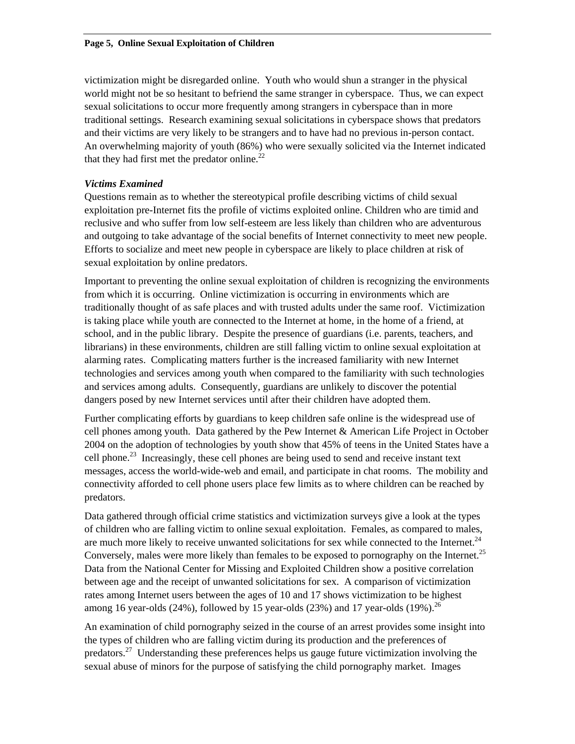victimization might be disregarded online. Youth who would shun a stranger in the physical world might not be so hesitant to befriend the same stranger in cyberspace. Thus, we can expect sexual solicitations to occur more frequently among strangers in cyberspace than in more traditional settings. Research examining sexual solicitations in cyberspace shows that predators and their victims are very likely to be strangers and to have had no previous in-person contact. An overwhelming majority of youth (86%) who were sexually solicited via the Internet indicated that they had first met the predator online. $^{22}$ 

## *Victims Examined*

Questions remain as to whether the stereotypical profile describing victims of child sexual exploitation pre-Internet fits the profile of victims exploited online. Children who are timid and reclusive and who suffer from low self-esteem are less likely than children who are adventurous and outgoing to take advantage of the social benefits of Internet connectivity to meet new people. Efforts to socialize and meet new people in cyberspace are likely to place children at risk of sexual exploitation by online predators.

Important to preventing the online sexual exploitation of children is recognizing the environments from which it is occurring. Online victimization is occurring in environments which are traditionally thought of as safe places and with trusted adults under the same roof. Victimization is taking place while youth are connected to the Internet at home, in the home of a friend, at school, and in the public library. Despite the presence of guardians (i.e. parents, teachers, and librarians) in these environments, children are still falling victim to online sexual exploitation at alarming rates. Complicating matters further is the increased familiarity with new Internet technologies and services among youth when compared to the familiarity with such technologies and services among adults. Consequently, guardians are unlikely to discover the potential dangers posed by new Internet services until after their children have adopted them.

Further complicating efforts by guardians to keep children safe online is the widespread use of cell phones among youth. Data gathered by the Pew Internet & American Life Project in October 2004 on the adoption of technologies by youth show that 45% of teens in the United States have a cell phone.<sup>23</sup> Increasingly, these cell phones are being used to send and receive instant text messages, access the world-wide-web and email, and participate in chat rooms. The mobility and connectivity afforded to cell phone users place few limits as to where children can be reached by predators.

Data gathered through official crime statistics and victimization surveys give a look at the types of children who are falling victim to online sexual exploitation. Females, as compared to males, are much more likely to receive unwanted solicitations for sex while connected to the Internet.<sup>24</sup> Conversely, males were more likely than females to be exposed to pornography on the Internet.<sup>25</sup> Data from the National Center for Missing and Exploited Children show a positive correlation between age and the receipt of unwanted solicitations for sex. A comparison of victimization rates among Internet users between the ages of 10 and 17 shows victimization to be highest among 16 year-olds  $(24%)$ , followed by 15 year-olds  $(23%)$  and 17 year-olds  $(19%)$ <sup>26</sup>

An examination of child pornography seized in the course of an arrest provides some insight into the types of children who are falling victim during its production and the preferences of predators.<sup>27</sup> Understanding these preferences helps us gauge future victimization involving the sexual abuse of minors for the purpose of satisfying the child pornography market. Images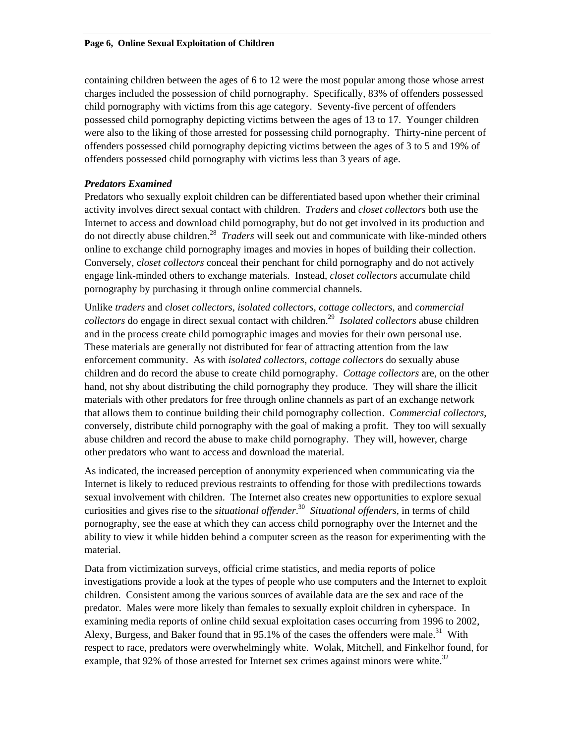containing children between the ages of 6 to 12 were the most popular among those whose arrest charges included the possession of child pornography. Specifically, 83% of offenders possessed child pornography with victims from this age category. Seventy-five percent of offenders possessed child pornography depicting victims between the ages of 13 to 17. Younger children were also to the liking of those arrested for possessing child pornography. Thirty-nine percent of offenders possessed child pornography depicting victims between the ages of 3 to 5 and 19% of offenders possessed child pornography with victims less than 3 years of age.

## *Predators Examined*

Predators who sexually exploit children can be differentiated based upon whether their criminal activity involves direct sexual contact with children. *Traders* and *closet collectors* both use the Internet to access and download child pornography, but do not get involved in its production and do not directly abuse children[.28](#page-13-27) *Traders* will seek out and communicate with like-minded others online to exchange child pornography images and movies in hopes of building their collection. Conversely, c*loset collectors* conceal their penchant for child pornography and do not actively engage link-minded others to exchange materials. Instead, *closet collectors* accumulate child pornography by purchasing it through online commercial channels.

Unlike *traders* and *closet collectors*, *isolated collectors*, *cottage collectors,* and *commercial collectors* do engage in direct sexual contact with children[.29](#page-13-28) *Isolated collectors* abuse children and in the process create child pornographic images and movies for their own personal use. These materials are generally not distributed for fear of attracting attention from the law enforcement community. As with *isolated collectors*, *cottage collectors* do sexually abuse children and do record the abuse to create child pornography. *Cottage collectors* are, on the other hand, not shy about distributing the child pornography they produce. They will share the illicit materials with other predators for free through online channels as part of an exchange network that allows them to continue building their child pornography collection. C*ommercial collectors*, conversely, distribute child pornography with the goal of making a profit. They too will sexually abuse children and record the abuse to make child pornography. They will, however, charge other predators who want to access and download the material.

As indicated, the increased perception of anonymity experienced when communicating via the Internet is likely to reduced previous restraints to offending for those with predilections towards sexual involvement with children. The Internet also creates new opportunities to explore sexual curiosities and gives rise to the *situational offender*. [30](#page-13-29) *Situational offenders*, in terms of child pornography, see the ease at which they can access child pornography over the Internet and the ability to view it while hidden behind a computer screen as the reason for experimenting with the material.

Data from victimization surveys, official crime statistics, and media reports of police investigations provide a look at the types of people who use computers and the Internet to exploit children. Consistent among the various sources of available data are the sex and race of the predator. Males were more likely than females to sexually exploit children in cyberspace. In examining media reports of online child sexual exploitation cases occurring from 1996 to 2002, Alexy, Burgess, and Baker found that in 95.1% of the cases the offenders were male.<sup>31</sup> With respect to race, predators were overwhelmingly white. Wolak, Mitchell, and Finkelhor found, for example, that 92% of those arrested for Internet sex crimes against minors were white.<sup>[32](#page-13-31)</sup>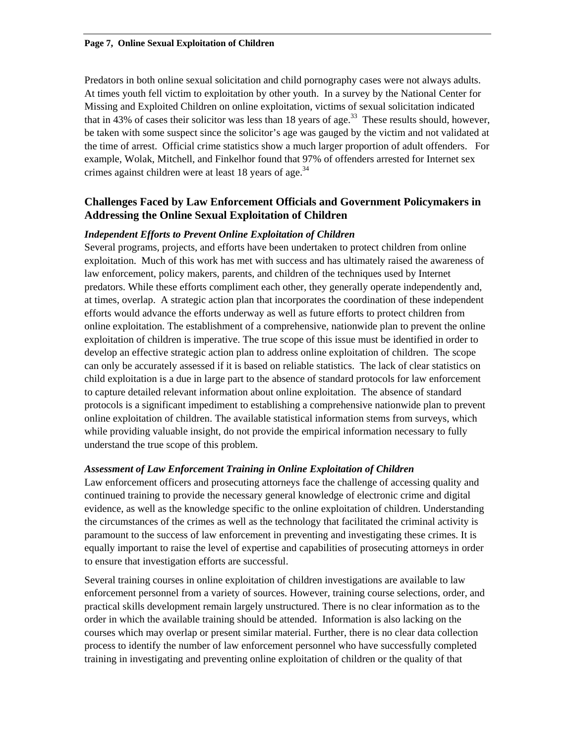Predators in both online sexual solicitation and child pornography cases were not always adults. At times youth fell victim to exploitation by other youth. In a survey by the National Center for Missing and Exploited Children on online exploitation, victims of sexual solicitation indicated that in 43% of cases their solicitor was less than 18 years of age.<sup>33</sup> These results should, however, be taken with some suspect since the solicitor's age was gauged by the victim and not validated at the time of arrest. Official crime statistics show a much larger proportion of adult offenders. For example, Wolak, Mitchell, and Finkelhor found that 97% of offenders arrested for Internet sex crimes against children were at least 18 years of age.<sup>34</sup>

## **Challenges Faced by Law Enforcement Officials and Government Policymakers in Addressing the Online Sexual Exploitation of Children**

## *Independent Efforts to Prevent Online Exploitation of Children*

Several programs, projects, and efforts have been undertaken to protect children from online exploitation. Much of this work has met with success and has ultimately raised the awareness of law enforcement, policy makers, parents, and children of the techniques used by Internet predators. While these efforts compliment each other, they generally operate independently and, at times, overlap. A strategic action plan that incorporates the coordination of these independent efforts would advance the efforts underway as well as future efforts to protect children from online exploitation. The establishment of a comprehensive, nationwide plan to prevent the online exploitation of children is imperative. The true scope of this issue must be identified in order to develop an effective strategic action plan to address online exploitation of children. The scope can only be accurately assessed if it is based on reliable statistics. The lack of clear statistics on child exploitation is a due in large part to the absence of standard protocols for law enforcement to capture detailed relevant information about online exploitation. The absence of standard protocols is a significant impediment to establishing a comprehensive nationwide plan to prevent online exploitation of children. The available statistical information stems from surveys, which while providing valuable insight, do not provide the empirical information necessary to fully understand the true scope of this problem.

#### *Assessment of Law Enforcement Training in Online Exploitation of Children*

Law enforcement officers and prosecuting attorneys face the challenge of accessing quality and continued training to provide the necessary general knowledge of electronic crime and digital evidence, as well as the knowledge specific to the online exploitation of children. Understanding the circumstances of the crimes as well as the technology that facilitated the criminal activity is paramount to the success of law enforcement in preventing and investigating these crimes. It is equally important to raise the level of expertise and capabilities of prosecuting attorneys in order to ensure that investigation efforts are successful.

Several training courses in online exploitation of children investigations are available to law enforcement personnel from a variety of sources. However, training course selections, order, and practical skills development remain largely unstructured. There is no clear information as to the order in which the available training should be attended. Information is also lacking on the courses which may overlap or present similar material. Further, there is no clear data collection process to identify the number of law enforcement personnel who have successfully completed training in investigating and preventing online exploitation of children or the quality of that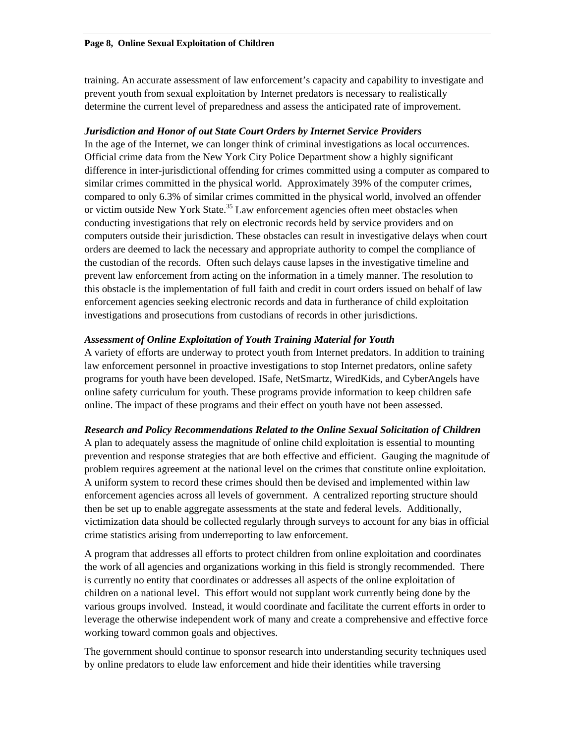#### **Page 8, Online Sexual Exploitation of Children**

training. An accurate assessment of law enforcement's capacity and capability to investigate and prevent youth from sexual exploitation by Internet predators is necessary to realistically determine the current level of preparedness and assess the anticipated rate of improvement.

#### *Jurisdiction and Honor of out State Court Orders by Internet Service Providers*

In the age of the Internet, we can longer think of criminal investigations as local occurrences. Official crime data from the New York City Police Department show a highly significant difference in inter-jurisdictional offending for crimes committed using a computer as compared to similar crimes committed in the physical world. Approximately 39% of the computer crimes, compared to only 6.3% of similar crimes committed in the physical world, involved an offender or victim outside New York State.<sup>35</sup> Law enforcement agencies often meet obstacles when conducting investigations that rely on electronic records held by service providers and on computers outside their jurisdiction. These obstacles can result in investigative delays when court orders are deemed to lack the necessary and appropriate authority to compel the compliance of the custodian of the records. Often such delays cause lapses in the investigative timeline and prevent law enforcement from acting on the information in a timely manner. The resolution to this obstacle is the implementation of full faith and credit in court orders issued on behalf of law enforcement agencies seeking electronic records and data in furtherance of child exploitation investigations and prosecutions from custodians of records in other jurisdictions.

#### *Assessment of Online Exploitation of Youth Training Material for Youth*

A variety of efforts are underway to protect youth from Internet predators. In addition to training law enforcement personnel in proactive investigations to stop Internet predators, online safety programs for youth have been developed. ISafe, NetSmartz, WiredKids, and CyberAngels have online safety curriculum for youth. These programs provide information to keep children safe online. The impact of these programs and their effect on youth have not been assessed.

#### *Research and Policy Recommendations Related to the Online Sexual Solicitation of Children*

A plan to adequately assess the magnitude of online child exploitation is essential to mounting prevention and response strategies that are both effective and efficient. Gauging the magnitude of problem requires agreement at the national level on the crimes that constitute online exploitation. A uniform system to record these crimes should then be devised and implemented within law enforcement agencies across all levels of government. A centralized reporting structure should then be set up to enable aggregate assessments at the state and federal levels. Additionally, victimization data should be collected regularly through surveys to account for any bias in official crime statistics arising from underreporting to law enforcement.

A program that addresses all efforts to protect children from online exploitation and coordinates the work of all agencies and organizations working in this field is strongly recommended. There is currently no entity that coordinates or addresses all aspects of the online exploitation of children on a national level. This effort would not supplant work currently being done by the various groups involved. Instead, it would coordinate and facilitate the current efforts in order to leverage the otherwise independent work of many and create a comprehensive and effective force working toward common goals and objectives.

The government should continue to sponsor research into understanding security techniques used by online predators to elude law enforcement and hide their identities while traversing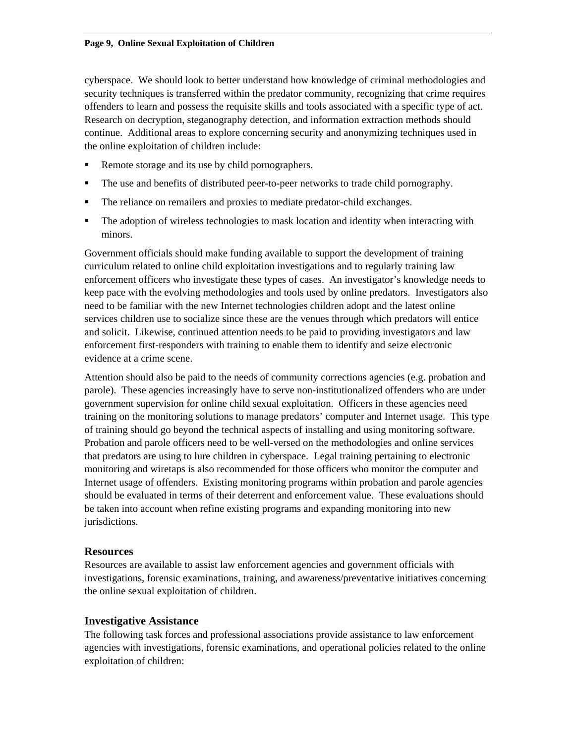#### **Page 9, Online Sexual Exploitation of Children**

cyberspace. We should look to better understand how knowledge of criminal methodologies and security techniques is transferred within the predator community, recognizing that crime requires offenders to learn and possess the requisite skills and tools associated with a specific type of act. Research on decryption, steganography detection, and information extraction methods should continue. Additional areas to explore concerning security and anonymizing techniques used in the online exploitation of children include:

- Remote storage and its use by child pornographers.
- The use and benefits of distributed peer-to-peer networks to trade child pornography.
- The reliance on remailers and proxies to mediate predator-child exchanges.
- The adoption of wireless technologies to mask location and identity when interacting with minors.

Government officials should make funding available to support the development of training curriculum related to online child exploitation investigations and to regularly training law enforcement officers who investigate these types of cases. An investigator's knowledge needs to keep pace with the evolving methodologies and tools used by online predators. Investigators also need to be familiar with the new Internet technologies children adopt and the latest online services children use to socialize since these are the venues through which predators will entice and solicit. Likewise, continued attention needs to be paid to providing investigators and law enforcement first-responders with training to enable them to identify and seize electronic evidence at a crime scene.

Attention should also be paid to the needs of community corrections agencies (e.g. probation and parole). These agencies increasingly have to serve non-institutionalized offenders who are under government supervision for online child sexual exploitation. Officers in these agencies need training on the monitoring solutions to manage predators' computer and Internet usage. This type of training should go beyond the technical aspects of installing and using monitoring software. Probation and parole officers need to be well-versed on the methodologies and online services that predators are using to lure children in cyberspace. Legal training pertaining to electronic monitoring and wiretaps is also recommended for those officers who monitor the computer and Internet usage of offenders. Existing monitoring programs within probation and parole agencies should be evaluated in terms of their deterrent and enforcement value. These evaluations should be taken into account when refine existing programs and expanding monitoring into new jurisdictions.

#### **Resources**

Resources are available to assist law enforcement agencies and government officials with investigations, forensic examinations, training, and awareness/preventative initiatives concerning the online sexual exploitation of children.

#### **Investigative Assistance**

The following task forces and professional associations provide assistance to law enforcement agencies with investigations, forensic examinations, and operational policies related to the online exploitation of children: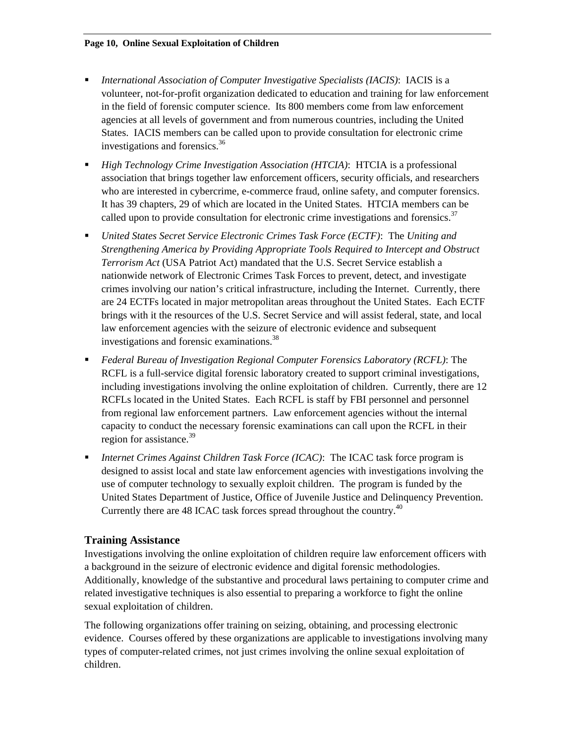- *International Association of Computer Investigative Specialists (IACIS)*: IACIS is a volunteer, not-for-profit organization dedicated to education and training for law enforcement in the field of forensic computer science. Its 800 members come from law enforcement agencies at all levels of government and from numerous countries, including the United States. IACIS members can be called upon to provide consultation for electronic crime investigations and forensics.<sup>[36](#page-13-11)</sup>
- *High Technology Crime Investigation Association (HTCIA)*: HTCIA is a professional association that brings together law enforcement officers, security officials, and researchers who are interested in cybercrime, e-commerce fraud, online safety, and computer forensics. It has 39 chapters, 29 of which are located in the United States. HTCIA members can be called upon to provide consultation for electronic crime investigations and forensics.<sup>[37](#page-13-35)</sup>
- *United States Secret Service Electronic Crimes Task Force (ECTF)*: The *Uniting and Strengthening America by Providing Appropriate Tools Required to Intercept and Obstruct Terrorism Act* (USA Patriot Act) mandated that the U.S. Secret Service establish a nationwide network of Electronic Crimes Task Forces to prevent, detect, and investigate crimes involving our nation's critical infrastructure, including the Internet. Currently, there are 24 ECTFs located in major metropolitan areas throughout the United States. Each ECTF brings with it the resources of the U.S. Secret Service and will assist federal, state, and local law enforcement agencies with the seizure of electronic evidence and subsequent investigations and forensic examinations.<sup>38</sup>
- *Federal Bureau of Investigation Regional Computer Forensics Laboratory (RCFL)*: The RCFL is a full-service digital forensic laboratory created to support criminal investigations, including investigations involving the online exploitation of children. Currently, there are 12 RCFLs located in the United States. Each RCFL is staff by FBI personnel and personnel from regional law enforcement partners. Law enforcement agencies without the internal capacity to conduct the necessary forensic examinations can call upon the RCFL in their region for assistance.<sup>39</sup>
- *Internet Crimes Against Children Task Force (ICAC)*: The ICAC task force program is designed to assist local and state law enforcement agencies with investigations involving the use of computer technology to sexually exploit children. The program is funded by the United States Department of Justice, Office of Juvenile Justice and Delinquency Prevention. Currently there are 48 ICAC task forces spread throughout the country.<sup>[40](#page-13-13)</sup>

## **Training Assistance**

Investigations involving the online exploitation of children require law enforcement officers with a background in the seizure of electronic evidence and digital forensic methodologies. Additionally, knowledge of the substantive and procedural laws pertaining to computer crime and related investigative techniques is also essential to preparing a workforce to fight the online sexual exploitation of children.

The following organizations offer training on seizing, obtaining, and processing electronic evidence. Courses offered by these organizations are applicable to investigations involving many types of computer-related crimes, not just crimes involving the online sexual exploitation of children.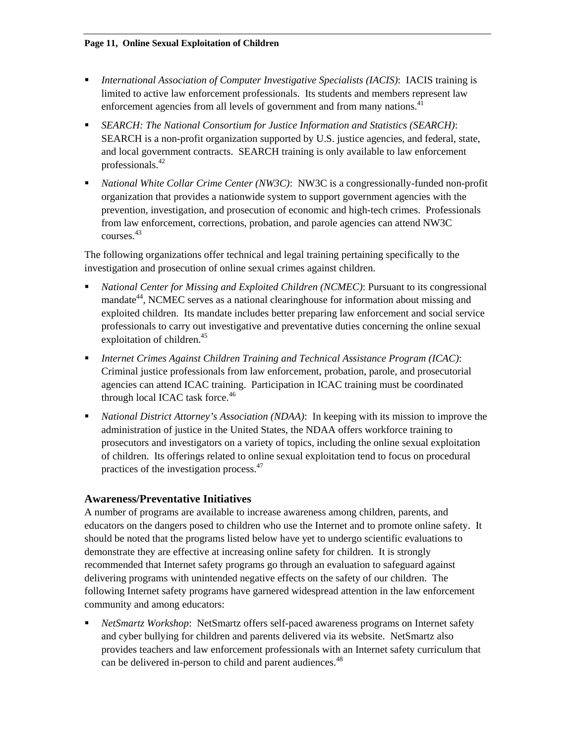- *International Association of Computer Investigative Specialists (IACIS)*: IACIS training is limited to active law enforcement professionals. Its students and members represent law enforcement agencies from all levels of government and from many nations.<sup>41</sup>
- *SEARCH: The National Consortium for Justice Information and Statistics (SEARCH)*: SEARCH is a non-profit organization supported by U.S. justice agencies, and federal, state, and local government contracts. SEARCH training is only available to law enforcement professionals.[42](#page-13-15)
- *National White Collar Crime Center (NW3C)*: NW3C is a congressionally-funded non-profit organization that provides a nationwide system to support government agencies with the prevention, investigation, and prosecution of economic and high-tech crimes. Professionals from law enforcement, corrections, probation, and parole agencies can attend NW3C courses.[43](#page-13-37)

The following organizations offer technical and legal training pertaining specifically to the investigation and prosecution of online sexual crimes against children.

- *National Center for Missing and Exploited Children (NCMEC)*: Pursuant to its congressional mandate<sup>44</sup>, NCMEC serves as a national clearinghouse for information about missing and exploited children. Its mandate includes better preparing law enforcement and social service professionals to carry out investigative and preventative duties concerning the online sexual exploitation of children.<sup>45</sup>
- *Internet Crimes Against Children Training and Technical Assistance Program (ICAC)*: Criminal justice professionals from law enforcement, probation, parole, and prosecutorial agencies can attend ICAC training. Participation in ICAC training must be coordinated through local ICAC task force.<sup>[46](#page-13-39)</sup>
- *National District Attorney's Association (NDAA)*: In keeping with its mission to improve the administration of justice in the United States, the NDAA offers workforce training to prosecutors and investigators on a variety of topics, including the online sexual exploitation of children. Its offerings related to online sexual exploitation tend to focus on procedural practices of the investigation process.[47](#page-13-40)

# **Awareness/Preventative Initiatives**

A number of programs are available to increase awareness among children, parents, and educators on the dangers posed to children who use the Internet and to promote online safety. It should be noted that the programs listed below have yet to undergo scientific evaluations to demonstrate they are effective at increasing online safety for children. It is strongly recommended that Internet safety programs go through an evaluation to safeguard against delivering programs with unintended negative effects on the safety of our children. The following Internet safety programs have garnered widespread attention in the law enforcement community and among educators:

 *NetSmartz Workshop*: NetSmartz offers self-paced awareness programs on Internet safety and cyber bullying for children and parents delivered via its website. NetSmartz also provides teachers and law enforcement professionals with an Internet safety curriculum that can be delivered in-person to child and parent audiences.<sup>[48](#page-13-41)</sup>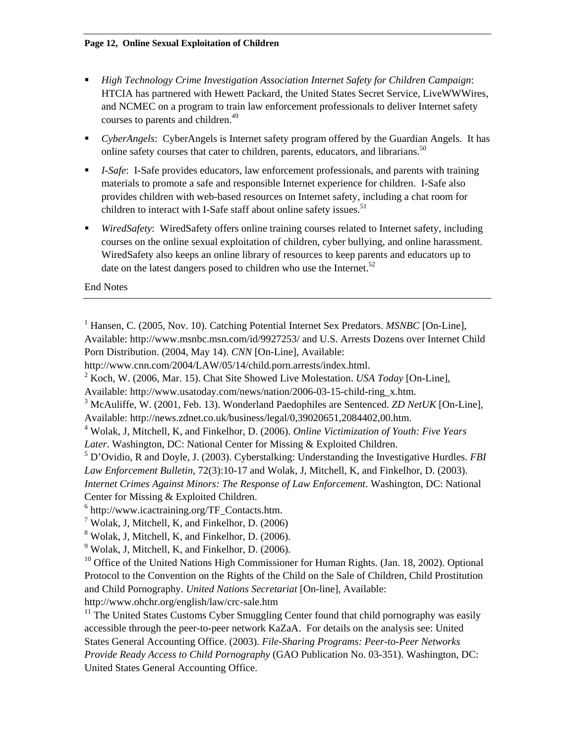- *High Technology Crime Investigation Association Internet Safety for Children Campaign*: HTCIA has partnered with Hewett Packard, the United States Secret Service, LiveWWWires, and NCMEC on a program to train law enforcement professionals to deliver Internet safety courses to parents and children.<sup>49</sup>
- *CyberAngels*: CyberAngels is Internet safety program offered by the Guardian Angels. It has online safety courses that cater to children, parents, educators, and librarians.<sup>50</sup>
- *I-Safe*: I-Safe provides educators, law enforcement professionals, and parents with training materials to promote a safe and responsible Internet experience for children. I-Safe also provides children with web-based resources on Internet safety, including a chat room for children to interact with I-Safe staff about online safety issues. $51$
- *WiredSafety*: WiredSafety offers online training courses related to Internet safety, including courses on the online sexual exploitation of children, cyber bullying, and online harassment. WiredSafety also keeps an online library of resources to keep parents and educators up to date on the latest dangers posed to children who use the Internet.<sup>52</sup>

End Notes

Available: http://www.usatoday.com/news/nation/2006-03-15-child-ring\_x.htm.

<sup>3</sup> McAuliffe, W. (2001, Feb. 13). Wonderland Paedophiles are Sentenced. *ZD NetUK* [On-Line], Available: http://news.zdnet.co.uk/business/legal/0,39020651,2084402,00.htm.

5 D'Ovidio, R and Doyle, J. (2003). Cyberstalking: Understanding the Investigative Hurdles. *FBI Law Enforcement Bulletin*, 72(3):10-17 and Wolak, J, Mitchell, K, and Finkelhor, D. (2003). *Internet Crimes Against Minors: The Response of Law Enforcement*. Washington, DC: National Center for Missing & Exploited Children.

 $9$  Wolak, J, Mitchell, K, and Finkelhor, D. (2006).

 $10$  Office of the United Nations High Commissioner for Human Rights. (Jan. 18, 2002). Optional Protocol to the Convention on the Rights of the Child on the Sale of Children, Child Prostitution and Child Pornography. *United Nations Secretariat* [On-line], Available: http://www.ohchr.org/english/law/crc-sale.htm

 $11$  The United States Customs Cyber Smuggling Center found that child pornography was easily accessible through the peer-to-peer network KaZaA. For details on the analysis see: United States General Accounting Office. (2003). *File-Sharing Programs: Peer-to-Peer Networks Provide Ready Access to Child Pornography* (GAO Publication No. 03-351). Washington, DC: United States General Accounting Office.

<sup>&</sup>lt;sup>1</sup> Hansen, C. (2005, Nov. 10). Catching Potential Internet Sex Predators. *MSNBC* [On-Line], Available: http://www.msnbc.msn.com/id/9927253/ and U.S. Arrests Dozens over Internet Child Porn Distribution. (2004, May 14). *CNN* [On-Line], Available:

http://www.cnn.com/2004/LAW/05/14/child.porn.arrests/index.html.

<sup>2</sup> Koch, W. (2006, Mar. 15). Chat Site Showed Live Molestation. *USA Today* [On-Line],

<sup>4</sup> Wolak, J, Mitchell, K, and Finkelhor, D. (2006). *Online Victimization of Youth: Five Years Later*. Washington, DC: National Center for Missing & Exploited Children.

<sup>6</sup> http://www.icactraining.org/TF\_Contacts.htm.

<sup>&</sup>lt;sup>7</sup> Wolak, J, Mitchell, K, and Finkelhor, D.  $(2006)$ 

<sup>&</sup>lt;sup>8</sup> Wolak, J, Mitchell, K, and Finkelhor, D. (2006).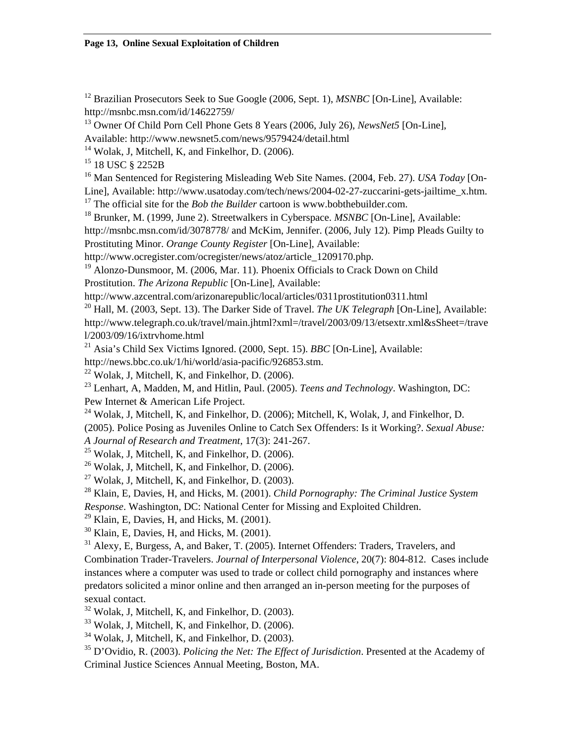<sup>12</sup> Brazilian Prosecutors Seek to Sue Google (2006, Sept. 1), *MSNBC* [On-Line], Available: http://msnbc.msn.com/id/14622759/

13 Owner Of Child Porn Cell Phone Gets 8 Years (2006, July 26), *NewsNet5* [On-Line],

Available: http://www.newsnet5.com/news/9579424/detail.html

 $14$  Wolak, J, Mitchell, K, and Finkelhor, D. (2006).

<sup>15</sup> 18 USC § 2252B

16 Man Sentenced for Registering Misleading Web Site Names. (2004, Feb. 27). *USA Today* [On-

Line], Available: http://www.usatoday.com/tech/news/2004-02-27-zuccarini-gets-jailtime\_x.htm.

<sup>17</sup> The official site for the *Bob the Builder* cartoon is www.bobthebuilder.com.

<sup>18</sup> Brunker, M. (1999, June 2). Streetwalkers in Cyberspace. *MSNBC* [On-Line], Available:

http://msnbc.msn.com/id/3078778/ and McKim, Jennifer. (2006, July 12). Pimp Pleads Guilty to Prostituting Minor. *Orange County Register* [On-Line], Available:

http://www.ocregister.com/ocregister/news/atoz/article\_1209170.php.

<sup>19</sup> Alonzo-Dunsmoor, M. (2006, Mar. 11). Phoenix Officials to Crack Down on Child Prostitution. *The Arizona Republic* [On-Line], Available:

http://www.azcentral.com/arizonarepublic/local/articles/0311prostitution0311.html

20 Hall, M. (2003, Sept. 13). The Darker Side of Travel. *The UK Telegraph* [On-Line], Available: http://www.telegraph.co.uk/travel/main.jhtml?xml=/travel/2003/09/13/etsextr.xml&sSheet=/trave l/2003/09/16/ixtrvhome.html

21 Asia's Child Sex Victims Ignored. (2000, Sept. 15). *BBC* [On-Line], Available:

http://news.bbc.co.uk/1/hi/world/asia-pacific/926853.stm.

 $22$  Wolak, J, Mitchell, K, and Finkelhor, D. (2006).

23 Lenhart, A, Madden, M, and Hitlin, Paul. (2005). *Teens and Technology*. Washington, DC: Pew Internet & American Life Project.

 $^{24}$  Wolak, J, Mitchell, K, and Finkelhor, D. (2006); Mitchell, K, Wolak, J, and Finkelhor, D.

(2005). Police Posing as Juveniles Online to Catch Sex Offenders: Is it Working?. *Sexual Abuse: A Journal of Research and Treatment*, 17(3): 241-267.

 $25$  Wolak, J, Mitchell, K, and Finkelhor, D. (2006).

 $26$  Wolak, J, Mitchell, K, and Finkelhor, D. (2006).

 $^{27}$  Wolak, J, Mitchell, K, and Finkelhor, D. (2003).

28 Klain, E, Davies, H, and Hicks, M. (2001). *Child Pornography: The Criminal Justice System* 

*Response*. Washington, DC: National Center for Missing and Exploited Children.

 $29$  Klain, E, Davies, H, and Hicks, M. (2001).

 $30$  Klain, E, Davies, H, and Hicks, M. (2001).

 $31$  Alexy, E, Burgess, A, and Baker, T. (2005). Internet Offenders: Traders, Travelers, and

Combination Trader-Travelers. *Journal of Interpersonal Violence*, 20(7): 804-812. Cases include instances where a computer was used to trade or collect child pornography and instances where predators solicited a minor online and then arranged an in-person meeting for the purposes of sexual contact.

 $32$  Wolak, J, Mitchell, K, and Finkelhor, D. (2003).

33 Wolak, J, Mitchell, K, and Finkelhor, D. (2006).

 $34$  Wolak, J, Mitchell, K, and Finkelhor, D. (2003).

35 D'Ovidio, R. (2003). *Policing the Net: The Effect of Jurisdiction*. Presented at the Academy of Criminal Justice Sciences Annual Meeting, Boston, MA.